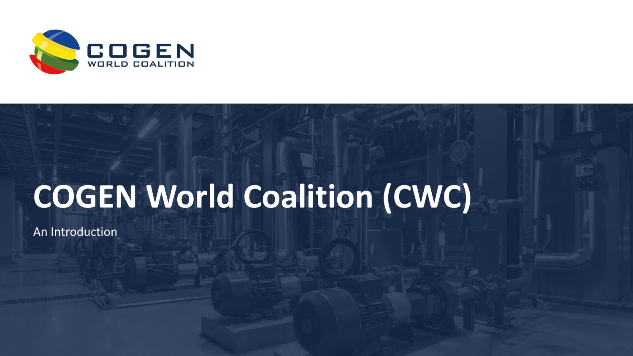

# **COGEN World Coalition (CWC)**

An Introduction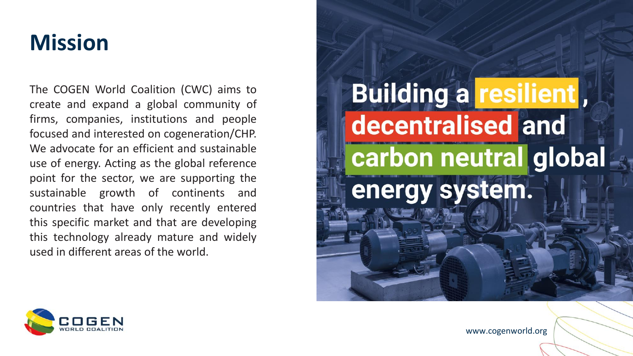### **Mission**

The COGEN World Coalition (CWC) aims to create and expand a global community of firms, companies, institutions and people focused and interested on cogeneration/CHP. We advocate for an efficient and sustainable use of energy. Acting as the global reference point for the sector, we are supporting the sustainable growth of continents and countries that have only recently entered this specific market and that are developing this technology already mature and widely used in different areas of the world.



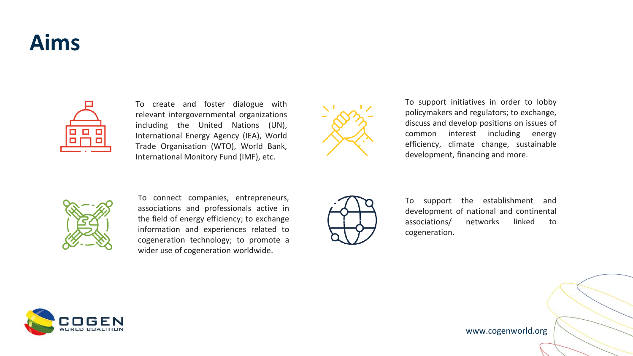# **Aims**



To create and foster dialogue with relevant intergovernmental organizations including the United Nations (UN), International Energy Agency (IEA), World Trade Organisation (WTO), World Bank, International Monitory Fund (IMF), etc.



To support initiatives in order to lobby policymakers and regulators; to exchange, discuss and develop positions on issues of common interest including energy efficiency, climate change, sustainable development, financing and more.



To connect companies, entrepreneurs, associations and professionals active in the field of energy efficiency; to exchange information and experiences related to cogeneration technology; to promote a wider use of cogeneration worldwide.



To support the establishment and development of national and continental associations/ networks linked to cogeneration.

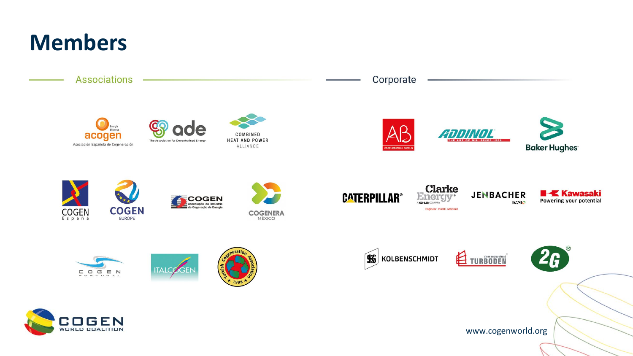# **Members**



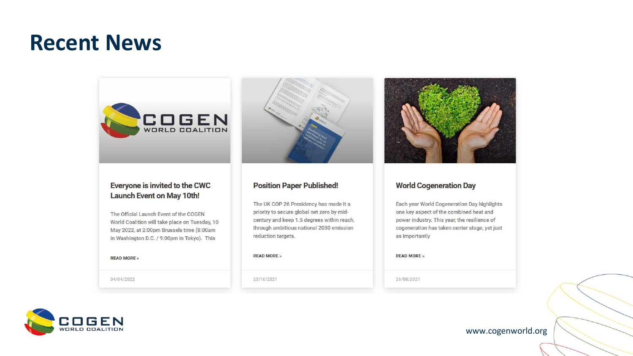### **Recent News**



### Everyone is invited to the CWC **Launch Event on May 10th!**

The Official Launch Event of the COGEN World Coalition will take place on Tuesday, 10 May 2022, at 2:00pm Brussels time (8:00am in Washington D.C. / 9:00pm in Tokyo). This

#### **READ MORE** »

04/04/2022



#### **Position Paper Published!**

The UK COP 26 Presidency has made it a priority to secure global net zero by midcentury and keep 1.5 degrees within reach, through ambitious national 2030 emission reduction targets.

#### **READ MORE** »

25/10/2021



### **World Cogeneration Day**

Each year World Cogeneration Day highlights one key aspect of the combined heat and power industry. This year, the resilience of cogeneration has taken center stage, yet just as importantly

**READ MORE** »

26/08/2021